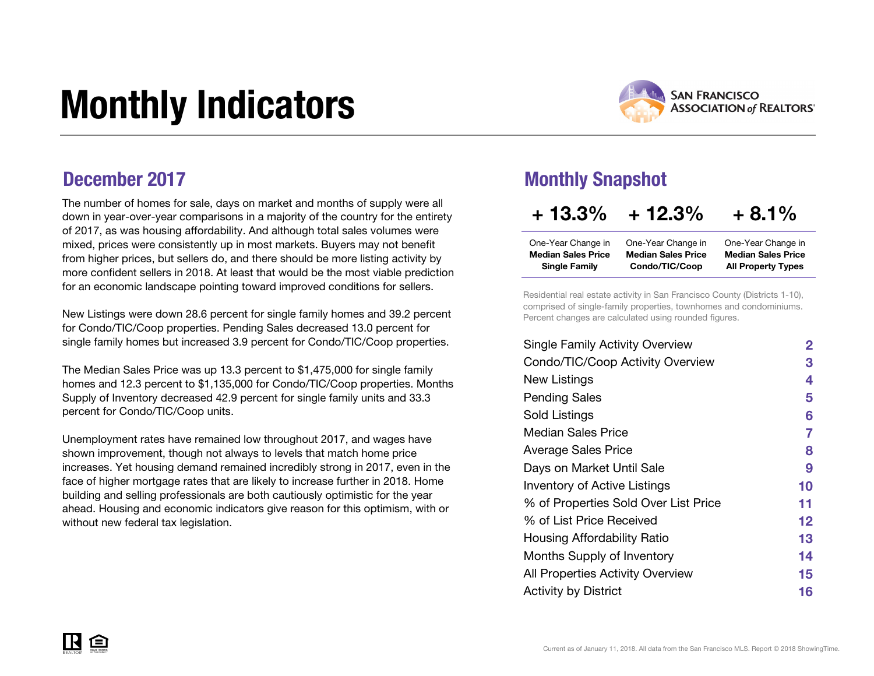# Monthly Indicators



### December 2017

The number of homes for sale, days on market and months of supply were all down in year-over-year comparisons in a majority of the country for the entirety of 2017, as was housing affordability. And although total sales volumes were mixed, prices were consistently up in most markets. Buyers may not benefit from higher prices, but sellers do, and there should be more listing activity by more confident sellers in 2018. At least that would be the most viable prediction for an economic landscape pointing toward improved conditions for sellers.

New Listings were down 28.6 percent for single family homes and 39.2 percent for Condo/TIC/Coop properties. Pending Sales decreased 13.0 percent for single family homes but increased 3.9 percent for Condo/TIC/Coop properties.

The Median Sales Price was up 13.3 percent to \$1,475,000 for single family homes and 12.3 percent to \$1,135,000 for Condo/TIC/Coop properties. Months Supply of Inventory decreased 42.9 percent for single family units and 33.3 percent for Condo/TIC/Coop units.

Unemployment rates have remained low throughout 2017, and wages have shown improvement, though not always to levels that match home price increases. Yet housing demand remained incredibly strong in 2017, even in the face of higher mortgage rates that are likely to increase further in 2018. Home building and selling professionals are both cautiously optimistic for the year ahead. Housing and economic indicators give reason for this optimism, with or without new federal tax legislation.

### Monthly Snapshot

| $+13.3%$ | $+12.3%$ | $+8.1%$ |
|----------|----------|---------|
|----------|----------|---------|

| One-Year Change in        | One-Year Change in        | One-Year Change in        |
|---------------------------|---------------------------|---------------------------|
| <b>Median Sales Price</b> | <b>Median Sales Price</b> | <b>Median Sales Price</b> |
| <b>Single Family</b>      | Condo/TIC/Coop            | <b>All Property Types</b> |

Residential real estate activity in San Francisco County (Districts 1-10), comprised of single-family properties, townhomes and condominiums. Percent changes are calculated using rounded figures.

| $\mathbf{2}$ |
|--------------|
| З            |
| 4            |
| 5            |
| 6            |
| 7            |
| 8            |
| 9            |
| 10           |
| 11           |
| $12 \,$      |
| 13           |
| 14           |
| 15           |
| 16           |
|              |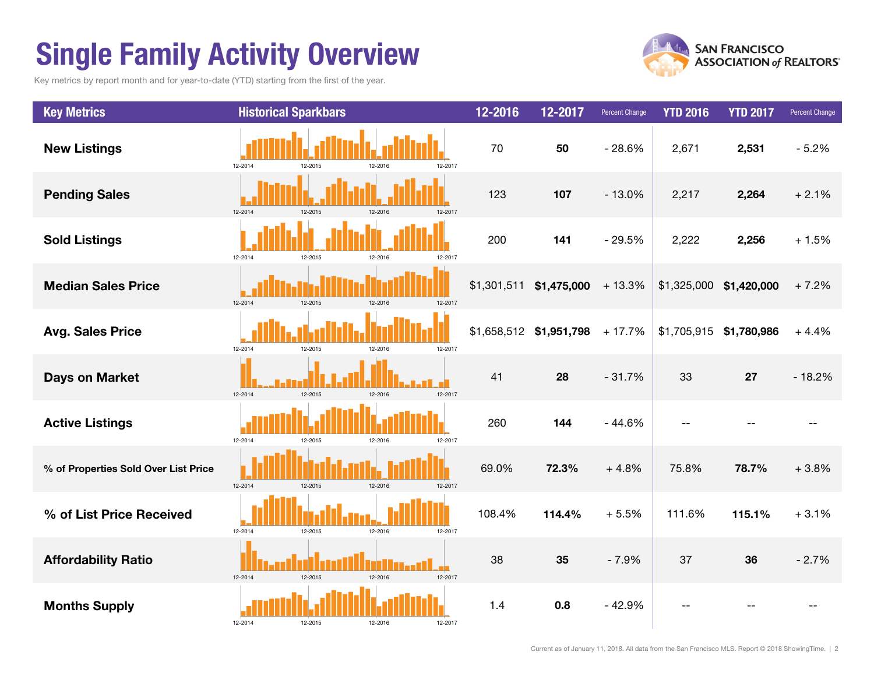## Single Family Activity Overview

Key metrics by report month and for year-to-date (YTD) starting from the first of the year.



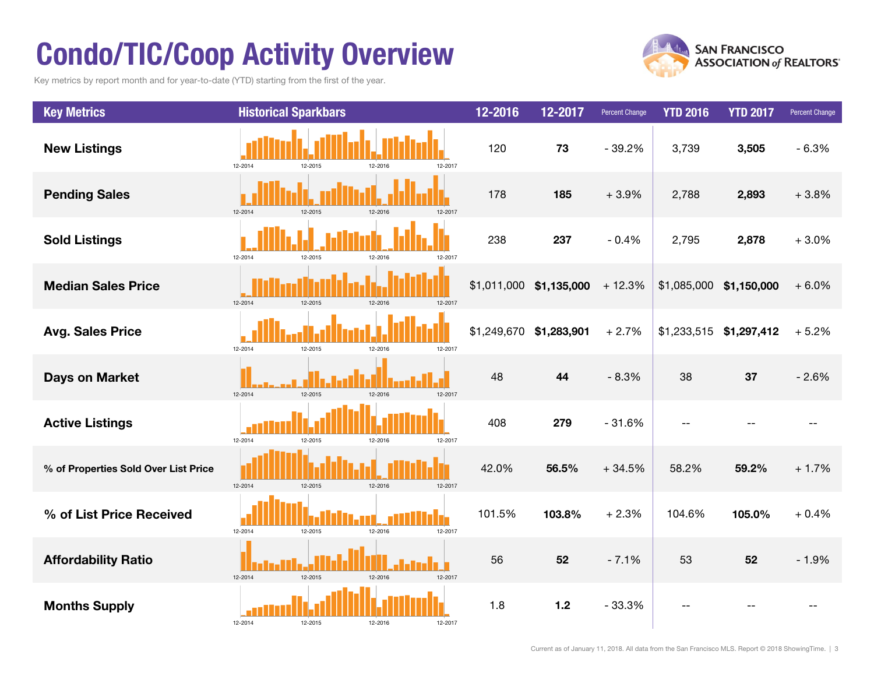## Condo/TIC/Coop Activity Overview

Key metrics by report month and for year-to-date (YTD) starting from the first of the year.



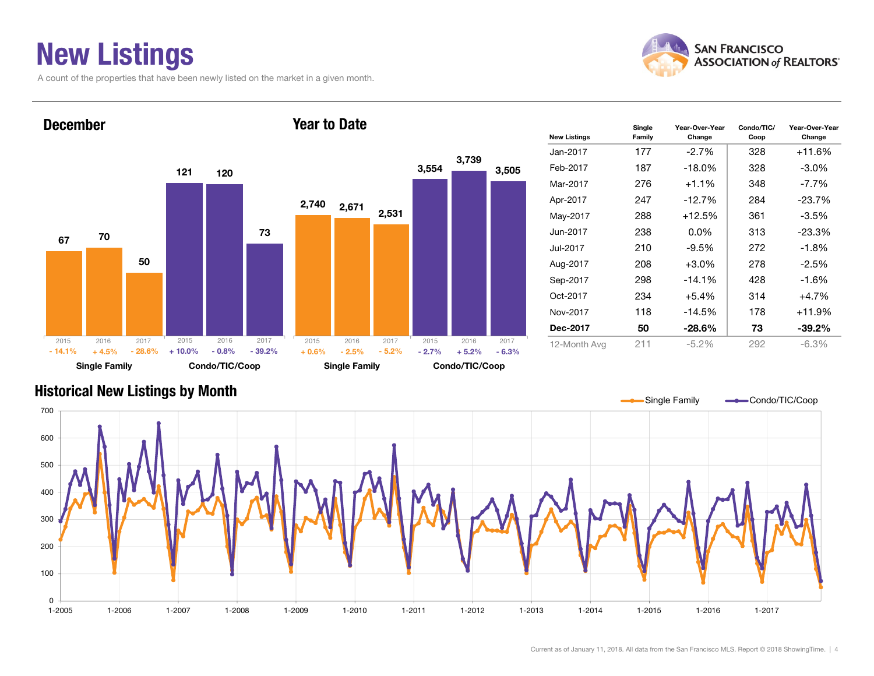### New Listings

A count of the properties that have been newly listed on the market in a given month.





| <b>New Listings</b> | Single<br>Family | Year-Over-Year<br>Change | Condo/TIC/<br>Coop | Year-Over-Year<br>Change |
|---------------------|------------------|--------------------------|--------------------|--------------------------|
| Jan-2017            | 177              | $-2.7\%$                 | 328                | $+11.6%$                 |
| Feb-2017            | 187              | $-18.0\%$                | 328                | $-3.0\%$                 |
| Mar-2017            | 276              | $+1.1\%$                 | 348                | -7.7%                    |
| Apr-2017            | 247              | $-12.7%$                 | 284                | $-23.7%$                 |
| May-2017            | 288              | $+12.5%$                 | 361                | $-3.5\%$                 |
| Jun-2017            | 238              | $0.0\%$                  | 313                | $-23.3%$                 |
| Jul-2017            | 210              | $-9.5%$                  | 272                | $-1.8\%$                 |
| Aug-2017            | 208              | $+3.0%$                  | 278                | $-2.5\%$                 |
| Sep-2017            | 298              | $-14.1%$                 | 428                | -1.6%                    |
| Oct-2017            | 234              | $+5.4%$                  | 314                | $+4.7%$                  |
| Nov-2017            | 118              | $-14.5%$                 | 178                | $+11.9%$                 |
| <b>Dec-2017</b>     | 50               | $-28.6\%$                | 73                 | $-39.2%$                 |
| 12-Month Avg        | 211              | $-5.2\%$                 | 292                | $-6.3\%$                 |

### Historical New Listings by Month

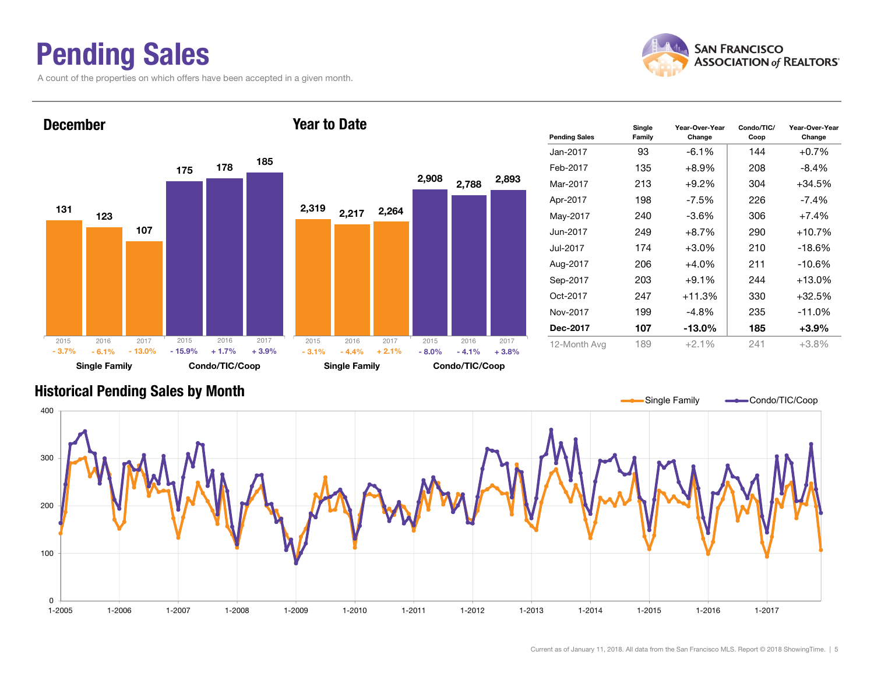### Pending Sales

A count of the properties on which offers have been accepted in a given month.





| <b>Pending Sales</b> | Single<br>Family | Year-Over-Year<br>Change | Condo/TIC/<br>Coop | Year-Over-Year<br>Change |
|----------------------|------------------|--------------------------|--------------------|--------------------------|
| Jan-2017             | 93               | $-6.1\%$                 | 144                | $+0.7%$                  |
| Feb-2017             | 135              | $+8.9%$                  | 208                | $-8.4%$                  |
| Mar-2017             | 213              | $+9.2\%$                 | 304                | $+34.5%$                 |
| Apr-2017             | 198              | $-7.5\%$                 | 226                | $-7.4\%$                 |
| May-2017             | 240              | $-3.6\%$                 | 306                | $+7.4%$                  |
| Jun-2017             | 249              | $+8.7%$                  | 290                | $+10.7%$                 |
| Jul-2017             | 174              | $+3.0%$                  | 210                | $-18.6%$                 |
| Aug-2017             | 206              | $+4.0%$                  | 211                | $-10.6%$                 |
| Sep-2017             | 203              | $+9.1%$                  | 244                | $+13.0\%$                |
| Oct-2017             | 247              | $+11.3%$                 | 330                | $+32.5%$                 |
| Nov-2017             | 199              | $-4.8\%$                 | 235                | $-11.0%$                 |
| Dec-2017             | 107              | $-13.0\%$                | 185                | $+3.9\%$                 |
| 12-Month Avg         | 189              | $+2.1%$                  | 241                | $+3.8%$                  |

#### Historical Pending Sales by Month

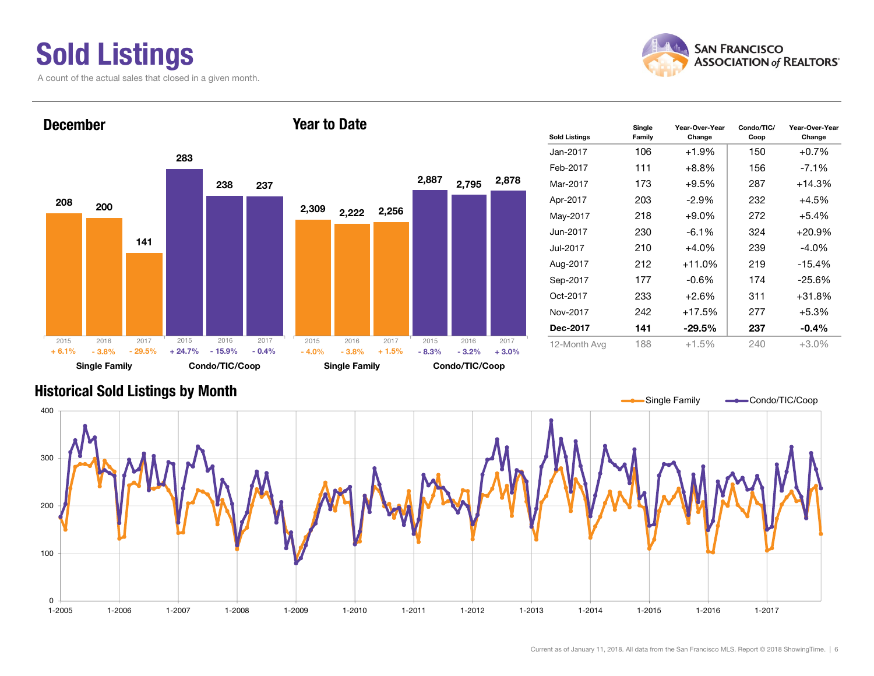## Sold Listings

A count of the actual sales that closed in a given month.





| <b>Sold Listings</b> | Single<br>Family | Year-Over-Year<br>Change | Condo/TIC/<br>Coop | Year-Over-Year<br>Change |
|----------------------|------------------|--------------------------|--------------------|--------------------------|
| Jan-2017             | 106              | $+1.9%$                  | 150                | $+0.7%$                  |
| Feb-2017             | 111              | $+8.8\%$                 | 156                | $-7.1\%$                 |
| Mar-2017             | 173              | $+9.5%$                  | 287                | $+14.3%$                 |
| Apr-2017             | 203              | $-2.9\%$                 | 232                | $+4.5%$                  |
| May-2017             | 218              | $+9.0\%$                 | 272                | $+5.4%$                  |
| Jun-2017             | 230              | $-6.1%$                  | 324                | $+20.9%$                 |
| Jul-2017             | 210              | $+4.0%$                  | 239                | $-4.0\%$                 |
| Aug-2017             | 212              | $+11.0%$                 | 219                | $-15.4%$                 |
| Sep-2017             | 177              | $-0.6%$                  | 174                | $-25.6\%$                |
| Oct-2017             | 233              | $+2.6%$                  | 311                | +31.8%                   |
| Nov-2017             | 242              | $+17.5%$                 | 277                | $+5.3%$                  |
| Dec-2017             | 141              | $-29.5%$                 | 237                | $-0.4%$                  |
| 12-Month Avg         | 188              | $+1.5%$                  | 240                | $+3.0%$                  |

### Historical Sold Listings by Month

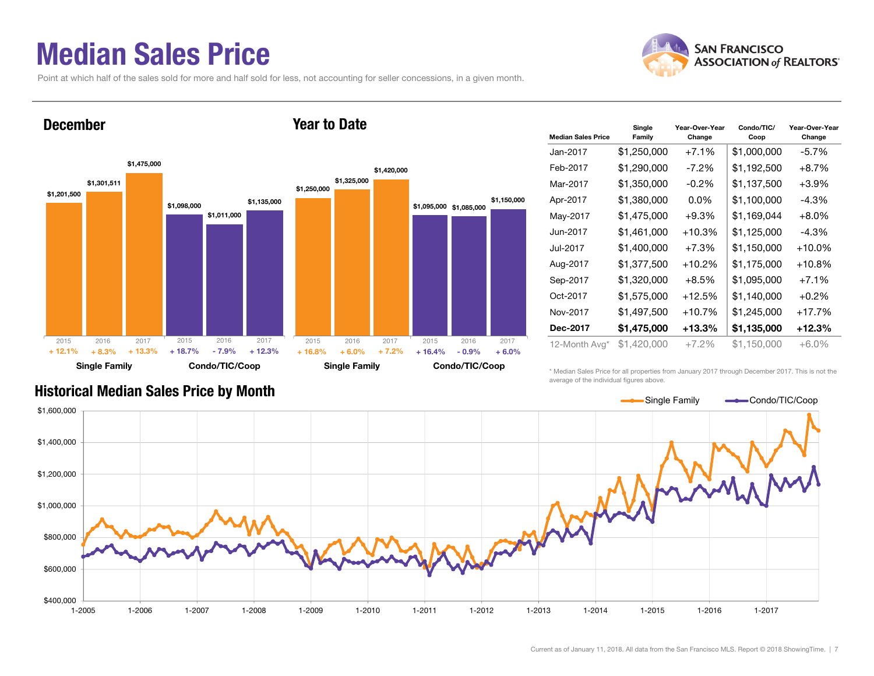### Median Sales Price

Point at which half of the sales sold for more and half sold for less, not accounting for seller concessions, in a given month.



#### December

#### Year to Date



| <b>Median Sales Price</b> | Single<br>Family | Year-Over-Year<br>Change | Condo/TIC/<br>Coop | Year-Over-Year<br>Change |
|---------------------------|------------------|--------------------------|--------------------|--------------------------|
| Jan-2017                  | \$1,250,000      | $+7.1%$                  | \$1,000,000        | $-5.7\%$                 |
| Feb-2017                  | \$1,290,000      | $-7.2\%$                 | \$1,192,500        | $+8.7%$                  |
| Mar-2017                  | \$1,350,000      | $-0.2\%$                 | \$1,137,500        | $+3.9\%$                 |
| Apr-2017                  | \$1,380,000      | $0.0\%$                  | \$1,100,000        | $-4.3%$                  |
| May-2017                  | \$1,475,000      | $+9.3%$                  | \$1,169,044        | $+8.0%$                  |
| Jun-2017                  | \$1,461,000      | $+10.3%$                 | \$1,125,000        | $-4.3%$                  |
| Jul-2017                  | \$1,400,000      | $+7.3%$                  | \$1,150,000        | $+10.0\%$                |
| Aug-2017                  | \$1,377,500      | $+10.2%$                 | \$1,175,000        | $+10.8%$                 |
| Sep-2017                  | \$1,320,000      | $+8.5%$                  | \$1,095,000        | $+7.1\%$                 |
| Oct-2017                  | \$1,575,000      | $+12.5%$                 | \$1,140,000        | $+0.2%$                  |
| Nov-2017                  | \$1,497,500      | $+10.7%$                 | \$1,245,000        | $+17.7%$                 |
| Dec-2017                  | \$1,475,000      | $+13.3%$                 | \$1,135,000        | $+12.3%$                 |
| 12-Month Avg*             | \$1,420,000      | $+7.2%$                  | \$1,150,000        | +6.0%                    |

\* Median Sales Price for all properties from January 2017 through December 2017. This is not the average of the individual figures above.



### Historical Median Sales Price by Month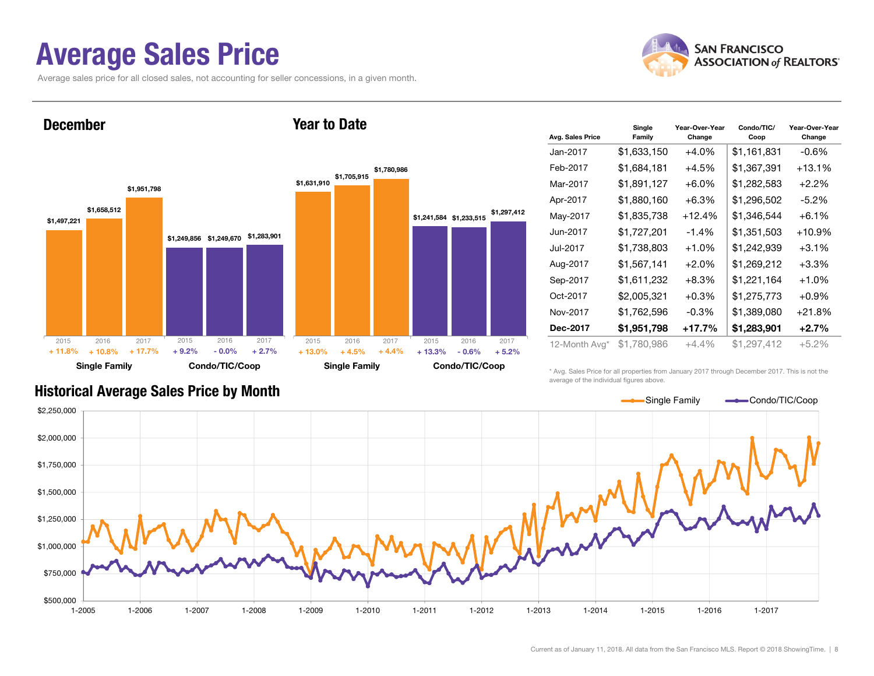### Average Sales Price

Average sales price for all closed sales, not accounting for seller concessions, in a given month.





| Avg. Sales Price | Single<br>Family | Year-Over-Year<br>Change | Condo/TIC/<br>Coop | Year-Over-Year<br>Change |
|------------------|------------------|--------------------------|--------------------|--------------------------|
| Jan-2017         | \$1,633,150      | $+4.0%$                  | \$1,161,831        | $-0.6%$                  |
| Feb-2017         | \$1,684,181      | +4.5%                    | \$1,367,391        | +13.1%                   |
| Mar-2017         | \$1,891,127      | $+6.0\%$                 | \$1,282,583        | $+2.2%$                  |
| Apr-2017         | \$1,880,160      | $+6.3%$                  | \$1,296,502        | $-5.2\%$                 |
| May-2017         | \$1,835,738      | $+12.4%$                 | \$1,346,544        | $+6.1\%$                 |
| Jun-2017         | \$1,727,201      | $-1.4%$                  | \$1,351,503        | +10.9%                   |
| Jul-2017         | \$1,738,803      | $+1.0%$                  | \$1,242,939        | $+3.1\%$                 |
| Aug-2017         | \$1,567,141      | $+2.0\%$                 | \$1,269,212        | $+3.3%$                  |
| Sep-2017         | \$1,611,232      | $+8.3%$                  | \$1,221,164        | $+1.0%$                  |
| Oct-2017         | \$2,005,321      | $+0.3%$                  | \$1,275,773        | $+0.9%$                  |
| Nov-2017         | \$1,762,596      | $-0.3%$                  | \$1,389,080        | +21.8%                   |
| Dec-2017         | \$1,951,798      | $+17.7%$                 | \$1,283,901        | $+2.7%$                  |
| 12-Month Avg*    | \$1,780,986      | +4.4%                    | \$1,297,412        | $+5.2%$                  |

Historical Average Sales Price by Month

\* Avg. Sales Price for all properties from January 2017 through December 2017. This is not the average of the individual figures above.

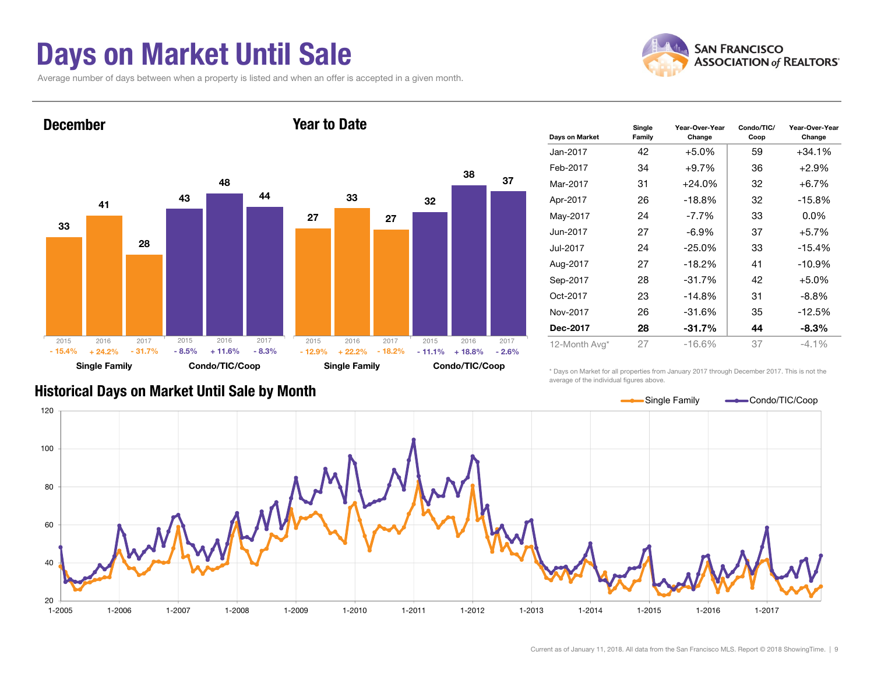### Days on Market Until Sale

Average number of days between when a property is listed and when an offer is accepted in a given month.





| Days on Market | Single<br>Family | Year-Over-Year<br>Change | Condo/TIC/<br>Coop | Year-Over-Year<br>Change |
|----------------|------------------|--------------------------|--------------------|--------------------------|
| Jan-2017       | 42               | +5.0%                    | 59                 | $+34.1%$                 |
| Feb-2017       | 34               | $+9.7%$                  | 36                 | $+2.9\%$                 |
| Mar-2017       | 31               | $+24.0%$                 | 32                 | $+6.7%$                  |
| Apr-2017       | 26               | $-18.8\%$                | 32                 | $-15.8%$                 |
| May-2017       | 24               | $-7.7%$                  | 33                 | $0.0\%$                  |
| Jun-2017       | 27               | $-6.9\%$                 | 37                 | $+5.7%$                  |
| Jul-2017       | 24               | $-25.0\%$                | 33                 | $-15.4%$                 |
| Aug-2017       | 27               | $-18.2%$                 | 41                 | $-10.9%$                 |
| Sep-2017       | 28               | $-31.7%$                 | 42                 | $+5.0%$                  |
| Oct-2017       | 23               | $-14.8%$                 | 31                 | $-8.8\%$                 |
| Nov-2017       | 26               | $-31.6%$                 | 35                 | $-12.5%$                 |
| Dec-2017       | 28               | $-31.7%$                 | 44                 | $-8.3\%$                 |
| 12-Month Avg*  | 27               | $-16.6%$                 | 37                 | $-4.1%$                  |

Historical Days on Market Until Sale by Month

\* Days on Market for all properties from January 2017 through December 2017. This is not the average of the individual figures above.

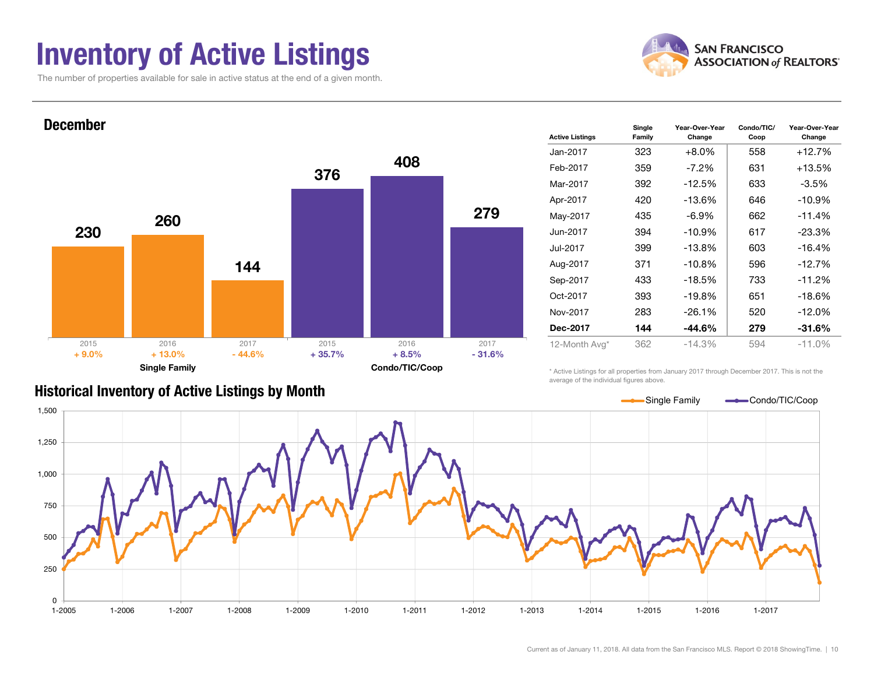### Inventory of Active Listings

The number of properties available for sale in active status at the end of a given month.





|  | <b>Historical Inventory of Active Listings by Month</b> |  |  |  |
|--|---------------------------------------------------------|--|--|--|
|--|---------------------------------------------------------|--|--|--|

| <b>Active Listings</b> | Single<br>Family | Year-Over-Year<br>Change | Condo/TIC/<br>Coop | Year-Over-Year<br>Change |
|------------------------|------------------|--------------------------|--------------------|--------------------------|
| Jan-2017               | 323              | $+8.0\%$                 | 558                | $+12.7%$                 |
| Feb-2017               | 359              | $-7.2\%$                 | 631                | $+13.5%$                 |
| Mar-2017               | 392              | $-12.5%$                 | 633                | -3.5%                    |
| Apr-2017               | 420              | $-13.6%$                 | 646                | $-10.9%$                 |
| May-2017               | 435              | $-6.9\%$                 | 662                | $-11.4%$                 |
| Jun-2017               | 394              | $-10.9%$                 | 617                | $-23.3%$                 |
| Jul-2017               | 399              | $-13.8%$                 | 603                | $-16.4%$                 |
| Aug-2017               | 371              | $-10.8%$                 | 596                | $-12.7%$                 |
| Sep-2017               | 433              | $-18.5%$                 | 733                | $-11.2%$                 |
| Oct-2017               | 393              | $-19.8%$                 | 651                | $-18.6%$                 |
| Nov-2017               | 283              | $-26.1%$                 | 520                | $-12.0%$                 |
| Dec-2017               | 144              | $-44.6\%$                | 279                | $-31.6%$                 |
| 12-Month Avg*          | 362              | $-14.3%$                 | 594                | $-11.0%$                 |

\* Active Listings for all properties from January 2017 through December 2017. This is not the average of the individual figures above.

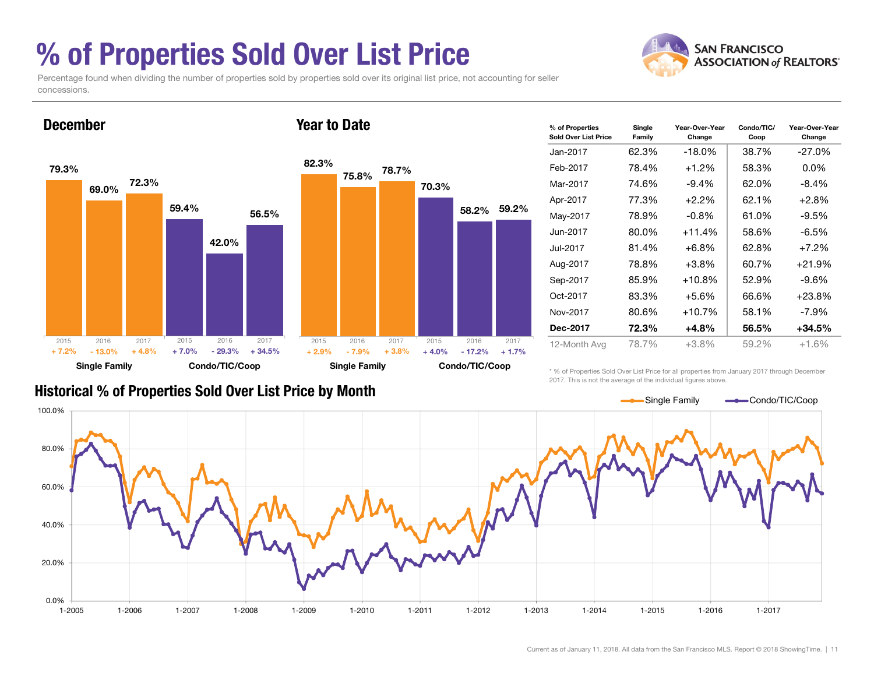### % of Properties Sold Over List Price

Percentage found when dividing the number of properties sold by properties sold over its original list price, not accounting for seller concessions.

Year to Date



| % of Properties<br>Sold Over List Price | Single<br>Family | Year-Over-Year<br>Change | Condo/TIC/<br>Coop | Year-Over-Year<br>Change |
|-----------------------------------------|------------------|--------------------------|--------------------|--------------------------|
| Jan-2017                                | 62.3%            | $-18.0%$                 | 38.7%              | $-27.0%$                 |
| Feb-2017                                | 78.4%            | $+1.2%$                  | 58.3%              | $0.0\%$                  |
| Mar-2017                                | 74.6%            | $-9.4\%$                 | 62.0%              | -8.4%                    |
| Apr-2017                                | 77.3%            | $+2.2%$                  | 62.1%              | $+2.8%$                  |
| May-2017                                | 78.9%            | $-0.8%$                  | 61.0%              | $-9.5\%$                 |
| Jun-2017                                | 80.0%            | $+11.4%$                 | 58.6%              | $-6.5\%$                 |
| Jul-2017                                | 81.4%            | $+6.8\%$                 | 62.8%              | $+7.2%$                  |
| Aug-2017                                | 78.8%            | $+3.8%$                  | 60.7%              | +21.9%                   |
| Sep-2017                                | 85.9%            | $+10.8\%$                | 52.9%              | -9.6%                    |
| Oct-2017                                | 83.3%            | $+5.6%$                  | 66.6%              | $+23.8\%$                |
| Nov-2017                                | 80.6%            | $+10.7%$                 | 58.1%              | -7.9%                    |
| Dec-2017                                | 72.3%            | $+4.8%$                  | 56.5%              | +34.5%                   |
| 12-Month Avg                            | 78.7%            | +3.8%                    | 59.2%              | +1.6%                    |

Historical % of Properties Sold Over List Price by Month

December

\* % of Properties Sold Over List Price for all properties from January 2017 through December 2017. This is not the average of the individual figures above.



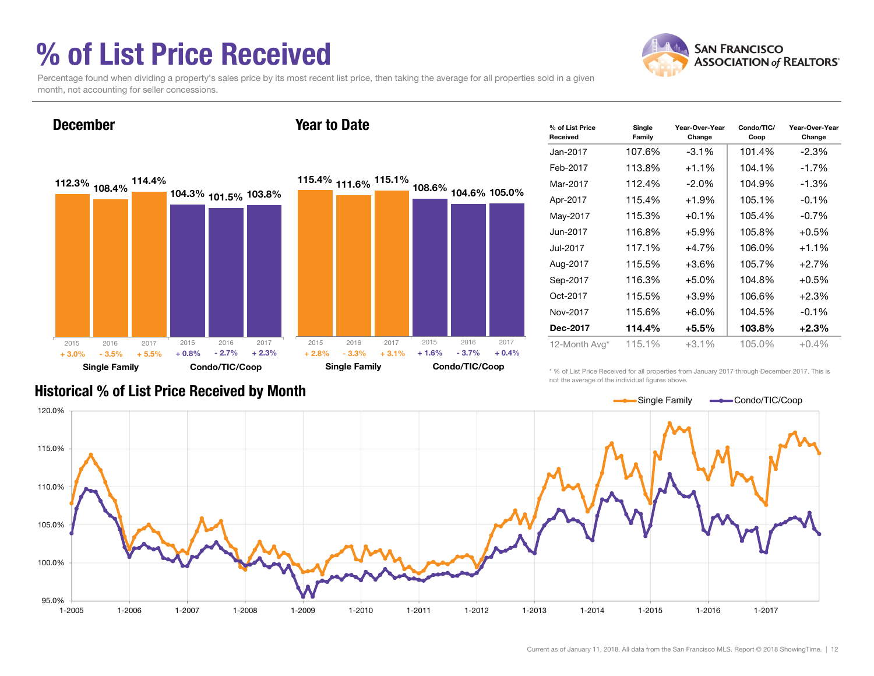## % of List Price Received

December



Percentage found when dividing a property's sales price by its most recent list price, then taking the average for all properties sold in a given month, not accounting for seller concessions.

Year to Date



| % of List Price<br>Received | Single<br>Family | Year-Over-Year<br>Change | Condo/TIC/<br>Coop | Year-Over-Year<br>Change |  |  |  |
|-----------------------------|------------------|--------------------------|--------------------|--------------------------|--|--|--|
| Jan-2017                    | 107.6%           | $-3.1%$                  | 101.4%             | $-2.3\%$                 |  |  |  |
| Feb-2017                    | 113.8%           | $+1.1\%$                 | 104.1%             | $-1.7%$                  |  |  |  |
| Mar-2017                    | 112.4%           | $-2.0%$                  | 104.9%             | $-1.3%$                  |  |  |  |
| Apr-2017                    | 115.4%           | $+1.9%$                  | 105.1%             | $-0.1%$                  |  |  |  |
| May-2017                    | 115.3%           | $+0.1\%$                 | 105.4%             | $-0.7\%$                 |  |  |  |
| Jun-2017                    | 116.8%           | $+5.9%$                  | 105.8%             | $+0.5%$                  |  |  |  |
| Jul-2017                    | 117.1%           | $+4.7%$                  | 106.0%             | $+1.1\%$                 |  |  |  |
| Aug-2017                    | 115.5%           | $+3.6%$                  | 105.7%             | $+2.7%$                  |  |  |  |
| Sep-2017                    | 116.3%           | $+5.0%$                  | 104.8%             | $+0.5%$                  |  |  |  |
| Oct-2017                    | 115.5%           | $+3.9%$                  | 106.6%             | $+2.3%$                  |  |  |  |
| Nov-2017                    | 115.6%           | $+6.0\%$                 | 104.5%             | $-0.1%$                  |  |  |  |
| Dec-2017                    | 114.4%           | $+5.5\%$                 | 103.8%             | $+2.3%$                  |  |  |  |
| 12-Month Avg*               | 115.1%           | $+3.1\%$                 | 105.0%             | $+0.4\%$                 |  |  |  |

\* % of List Price Received for all properties from January 2017 through December 2017. This is not the average of the individual figures above.



### Historical % of List Price Received by Month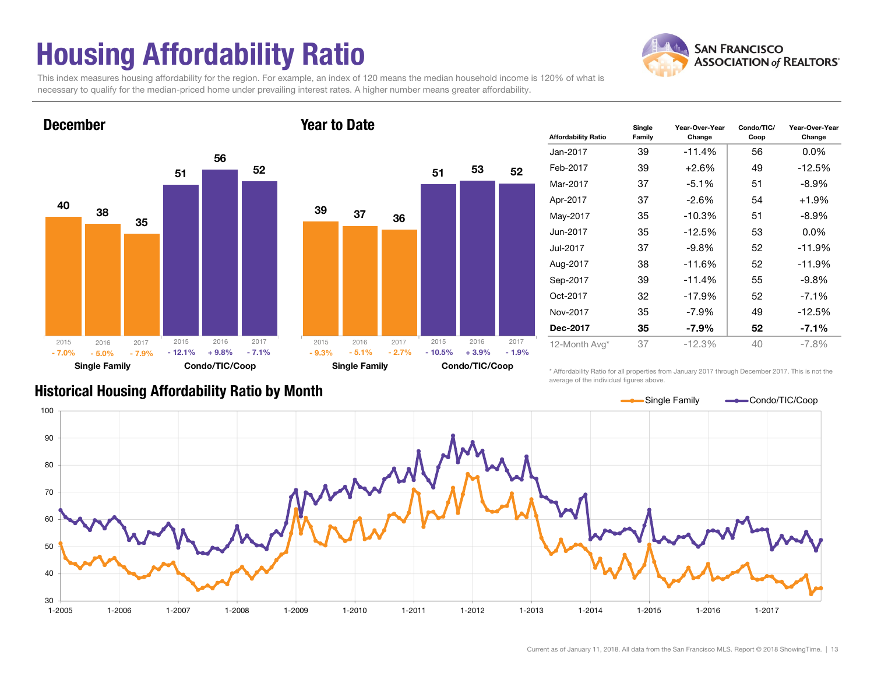## Housing Affordability Ratio

This index measures housing affordability for the region. For example, an index of 120 means the median household income is 120% of what is necessary to qualify for the median-priced home under prevailing interest rates. A higher number means greater affordability.

Year to Date



December



| <b>Affordability Ratio</b> | Single<br>Family | Year-Over-Year<br>Change | Condo/TIC/<br>Coop | Year-Over-Year<br>Change |  |  |  |
|----------------------------|------------------|--------------------------|--------------------|--------------------------|--|--|--|
| Jan-2017                   | 39               | $-11.4%$                 | 56                 | $0.0\%$                  |  |  |  |
| Feb-2017                   | 39               | +2.6%                    | 49                 | $-12.5%$                 |  |  |  |
| Mar-2017                   | 37               | $-5.1%$                  | 51                 | -8.9%                    |  |  |  |
| Apr-2017                   | 37               | $-2.6\%$                 | 54                 | $+1.9%$                  |  |  |  |
| May-2017                   | 35               | $-10.3%$                 | 51                 | $-8.9\%$                 |  |  |  |
| Jun-2017                   | 35               | $-12.5%$                 | 53                 | $0.0\%$                  |  |  |  |
| Jul-2017                   | 37               | $-9.8\%$                 | 52                 | $-11.9%$                 |  |  |  |
| Aug-2017                   | 38               | $-11.6%$                 | 52                 | $-11.9%$                 |  |  |  |
| Sep-2017                   | 39               | $-11.4%$                 | 55                 | $-9.8%$                  |  |  |  |
| Oct-2017                   | 32               | $-17.9%$                 | 52                 | $-7.1%$                  |  |  |  |
| Nov-2017                   | 35               | $-7.9\%$                 | 49                 | $-12.5%$                 |  |  |  |
| Dec-2017                   | 35               | -7.9%                    | 52                 | $-7.1\%$                 |  |  |  |
| 12-Month Avg*              | 37               | $-12.3%$                 | 40                 | $-7.8%$                  |  |  |  |

#### Historical Housing Affordability Ratio by Month

\* Affordability Ratio for all properties from January 2017 through December 2017. This is not the average of the individual figures above.



**SAN FRANCISCO ASSOCIATION of REALTORS'**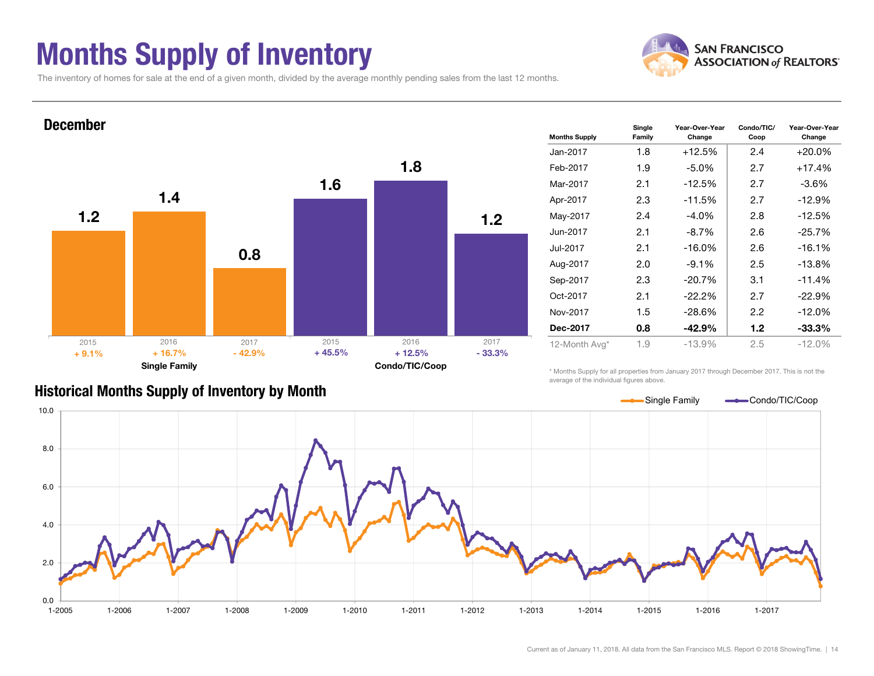### Months Supply of Inventory



Condo/TIC/ Coop

Year-Over-Year Change

The inventory of homes for sale at the end of a given month, divided by the average monthly pending sales from the last 12 months.



#### Historical Months Supply of Inventory by Month

\* Months Supply for all properties from January 2017 through December 2017. This is not the average of the individual figures above.

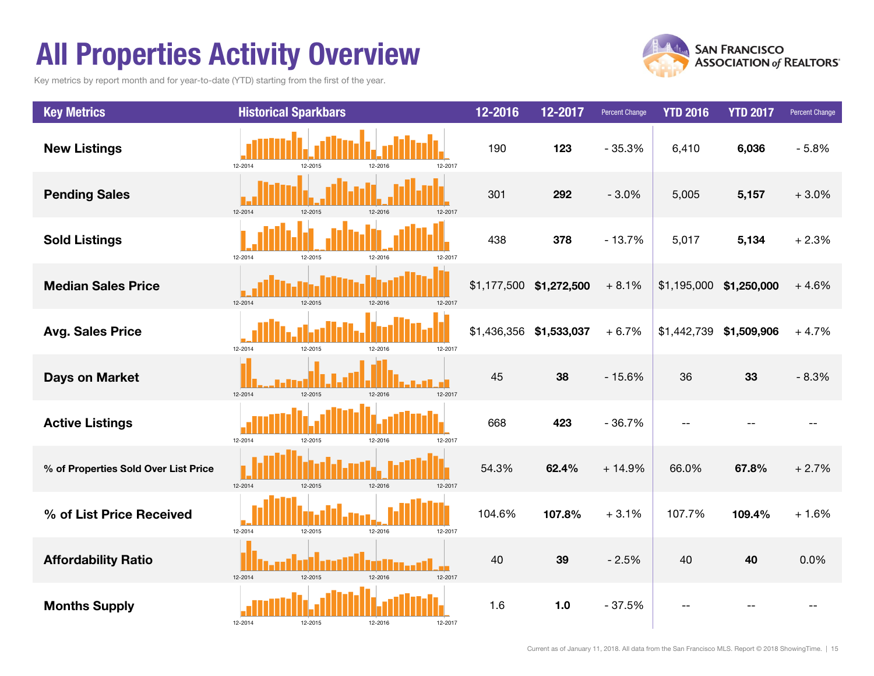## All Properties Activity Overview

Key metrics by report month and for year-to-date (YTD) starting from the first of the year.